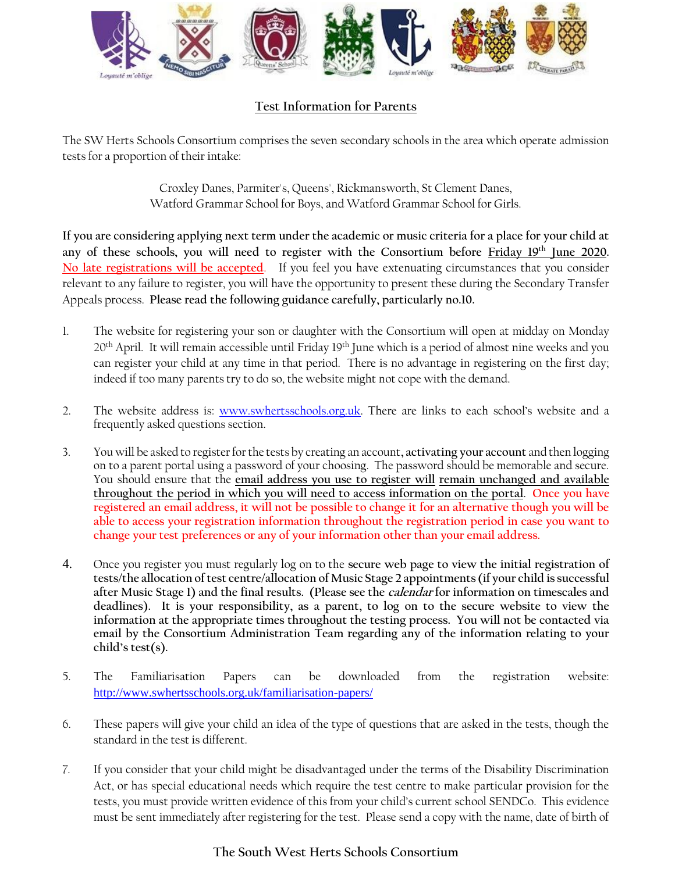

## **Test Information for Parents**

The SW Herts Schools Consortium comprises the seven secondary schools in the area which operate admission tests for a proportion of their intake:

> Croxley Danes, Parmiter's, Queens', Rickmansworth, St Clement Danes, Watford Grammar School for Boys, and Watford Grammar School for Girls.

**If you are considering applying next term under the academic or music criteria for a place for your child at any of these schools, you will need to register with the Consortium before Friday 19th June 2020. No late registrations will be accepted**. If you feel you have extenuating circumstances that you consider relevant to any failure to register, you will have the opportunity to present these during the Secondary Transfer Appeals process. **Please read the following guidance carefully, particularly no.10.**

- 1. The website for registering your son or daughter with the Consortium will open at midday on Monday 20<sup>th</sup> April. It will remain accessible until Friday 19<sup>th</sup> June which is a period of almost nine weeks and you can register your child at any time in that period. There is no advantage in registering on the first day; indeed if too many parents try to do so, the website might not cope with the demand.
- 2. The website address is: [www.swhertsschools.org.uk.](https://amxprd0310.outlook.com/owa/redir.aspx?C=oUnGPQtMfk60ZrIq5z8iv0o0dN0TAs8IXy9uUK3FeUX_MSaoH9QINgZzUP5t2jUvtTQkC_N0vyc.&URL=http%3a%2f%2fwww.swhertsschools.org.uk) There are links to each school's website and a frequently asked questions section.
- 3. You will be asked to register for the tests by creating an account**, activating your account** and then logging on to a parent portal using a password of your choosing. The password should be memorable and secure. You should ensure that the **email address you use to register will remain unchanged and available throughout the period in which you will need to access information on the portal**. **Once you have registered an email address, it will not be possible to change it for an alternative though you will be able to access your registration information throughout the registration period in case you want to change your test preferences or any of your information other than your email address.**
- 4. Once you register you must regularly log on to the **secure web page to view the initial registration of tests/the allocation of test centre/allocation of Music Stage 2 appointments (if your child is successful after Music Stage 1) and the final results. (Please see the calendar for information on timescales and deadlines). It is your responsibility, as a parent, to log on to the secure website to view the information at the appropriate times throughout the testing process. You will not be contacted via email by the Consortium Administration Team regarding any of the information relating to your child's test(s).**
- 5. The Familiarisation Papers can be downloaded from the registration website: <http://www.swhertsschools.org.uk/familiarisation-papers/>
- 6. These papers will give your child an idea of the type of questions that are asked in the tests, though the standard in the test is different.
- 7. If you consider that your child might be disadvantaged under the terms of the Disability Discrimination Act, or has special educational needs which require the test centre to make particular provision for the tests, you must provide written evidence of this from your child's current school SENDCo. This evidence must be sent immediately after registering for the test. Please send a copy with the name, date of birth of

## **The South West Herts Schools Consortium**